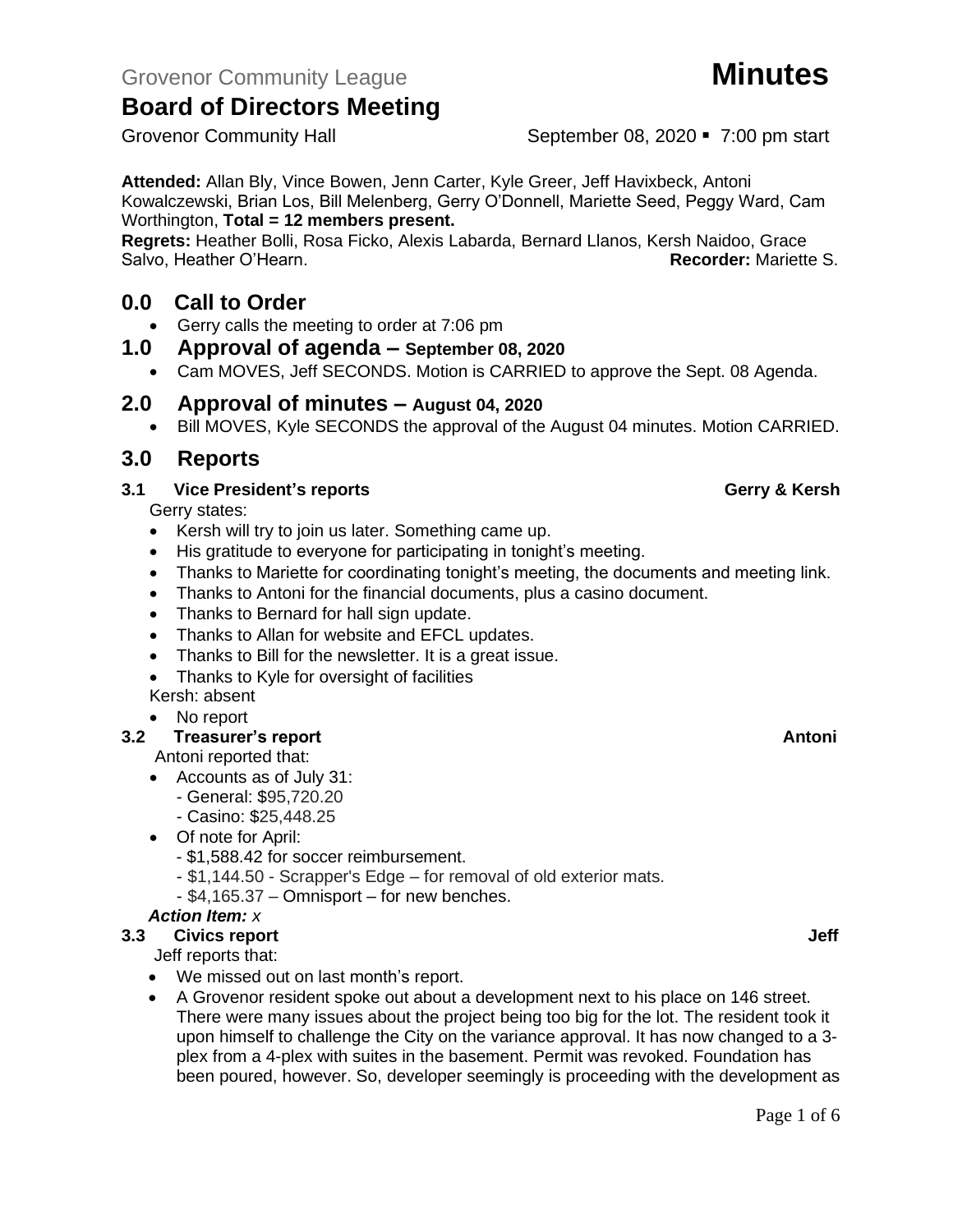Grovenor Community Hall September 08, 2020 • 7:00 pm start

**Attended:** Allan Bly, Vince Bowen, Jenn Carter, Kyle Greer, Jeff Havixbeck, Antoni Kowalczewski, Brian Los, Bill Melenberg, Gerry O'Donnell, Mariette Seed, Peggy Ward, Cam Worthington, **Total = 12 members present.**

**Regrets:** Heather Bolli, Rosa Ficko, Alexis Labarda, Bernard Llanos, Kersh Naidoo, Grace Salvo, Heather O'Hearn. **Recorder:** Mariette S.

## **0.0 Call to Order**

- Gerry calls the meeting to order at 7:06 pm
- **1.0 Approval of agenda – September 08, 2020**
	- Cam MOVES, Jeff SECONDS. Motion is CARRIED to approve the Sept. 08 Agenda.

## **2.0 Approval of minutes – August 04, 2020**

• Bill MOVES, Kyle SECONDS the approval of the August 04 minutes. Motion CARRIED.

## **3.0 Reports**

## **3.1 Vice President's reports Gerry & Kersh**

Gerry states:

- Kersh will try to join us later. Something came up.
- His gratitude to everyone for participating in tonight's meeting.
- Thanks to Mariette for coordinating tonight's meeting, the documents and meeting link.
- Thanks to Antoni for the financial documents, plus a casino document.
- Thanks to Bernard for hall sign update.
- Thanks to Allan for website and EFCL updates.
- Thanks to Bill for the newsletter. It is a great issue.
- Thanks to Kyle for oversight of facilities

Kersh: absent

## • No report

## **3.2 Freasurer's report Antonic Structure Antonic Structure Antonic Antonic Antonic Antonic Antonic Antonic Antoni**

Antoni reported that:

- Accounts as of July 31:
	- General: \$95,720.20
	- Casino: \$25,448.25
- Of note for April:
	- \$1,588.42 for soccer reimbursement.
	- \$1,144.50 Scrapper's Edge for removal of old exterior mats.
	- \$4,165.37 Omnisport for new benches.

## *Action Item: x*

## **3.3 Civics report Jeff**

Jeff reports that:

- We missed out on last month's report.
- A Grovenor resident spoke out about a development next to his place on 146 street. There were many issues about the project being too big for the lot. The resident took it upon himself to challenge the City on the variance approval. It has now changed to a 3 plex from a 4-plex with suites in the basement. Permit was revoked. Foundation has been poured, however. So, developer seemingly is proceeding with the development as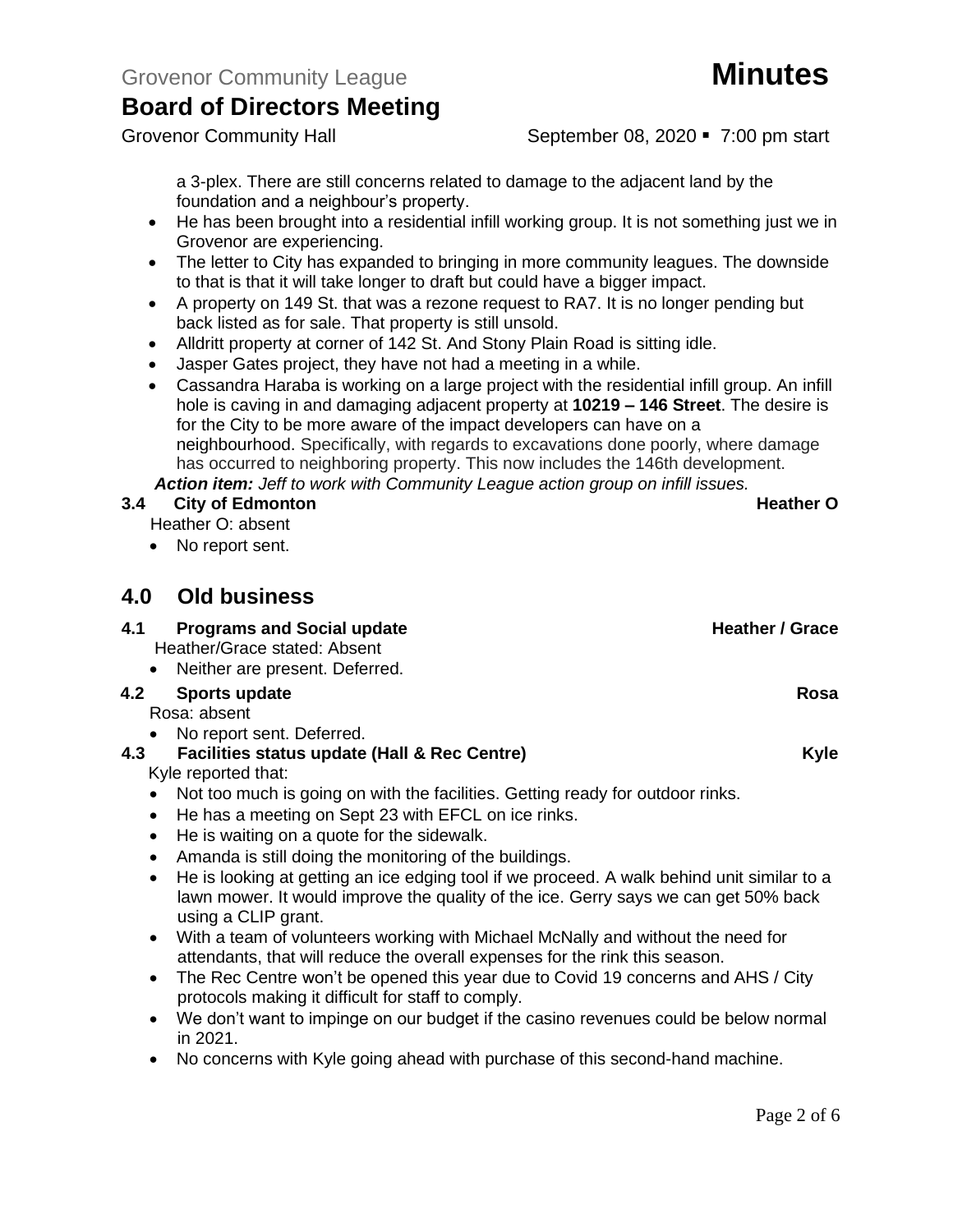Grovenor Community Hall September 08, 2020 • 7:00 pm start

a 3-plex. There are still concerns related to damage to the adjacent land by the foundation and a neighbour's property.

- He has been brought into a residential infill working group. It is not something just we in Grovenor are experiencing.
- The letter to City has expanded to bringing in more community leagues. The downside to that is that it will take longer to draft but could have a bigger impact.
- A property on 149 St. that was a rezone request to RA7. It is no longer pending but back listed as for sale. That property is still unsold.
- Alldritt property at corner of 142 St. And Stony Plain Road is sitting idle.
- Jasper Gates project, they have not had a meeting in a while.
- Cassandra Haraba is working on a large project with the residential infill group. An infill hole is caving in and damaging adjacent property at **10219 – 146 Street**. The desire is for the City to be more aware of the impact developers can have on a neighbourhood. Specifically, with regards to excavations done poorly, where damage has occurred to neighboring property. This now includes the 146th development. *Action item: Jeff to work with Community League action group on infill issues.*

## **3.4 City of Edmonton Constanting Constanting Constanting Constanting Constanting Constanting Constanting Constanting Constanting Constanting Constanting Constanting Constanting Constanting Constanting Constanting Cons**

Heather O: absent

• No report sent.

# **4.0 Old business**

- **4.1 Programs and Social update <b>Access 2.1 Access 2.1 Access 2.1 Access** 2.1 Access 2.1 Access 2.1 Access 2.1 Access 2.1 Access 2.1 Access 2.1 Access 2.1 Access 2.1 Access 2.1 Access 2.1 Access 2.1 Access 2.1 Access 2.1 A Heather/Grace stated: Absent • Neither are present. Deferred. **4.2 Sports update Rosa** Rosa: absent
	- No report sent. Deferred.

# **4.3 Facilities status update (Hall & Rec Centre) Kyle**

Kyle reported that:

- Not too much is going on with the facilities. Getting ready for outdoor rinks.
- He has a meeting on Sept 23 with EFCL on ice rinks.
- He is waiting on a quote for the sidewalk.
- Amanda is still doing the monitoring of the buildings.
- He is looking at getting an ice edging tool if we proceed. A walk behind unit similar to a lawn mower. It would improve the quality of the ice. Gerry says we can get 50% back using a CLIP grant.
- With a team of volunteers working with Michael McNally and without the need for attendants, that will reduce the overall expenses for the rink this season.
- The Rec Centre won't be opened this year due to Covid 19 concerns and AHS / City protocols making it difficult for staff to comply.
- We don't want to impinge on our budget if the casino revenues could be below normal in 2021.
- No concerns with Kyle going ahead with purchase of this second-hand machine.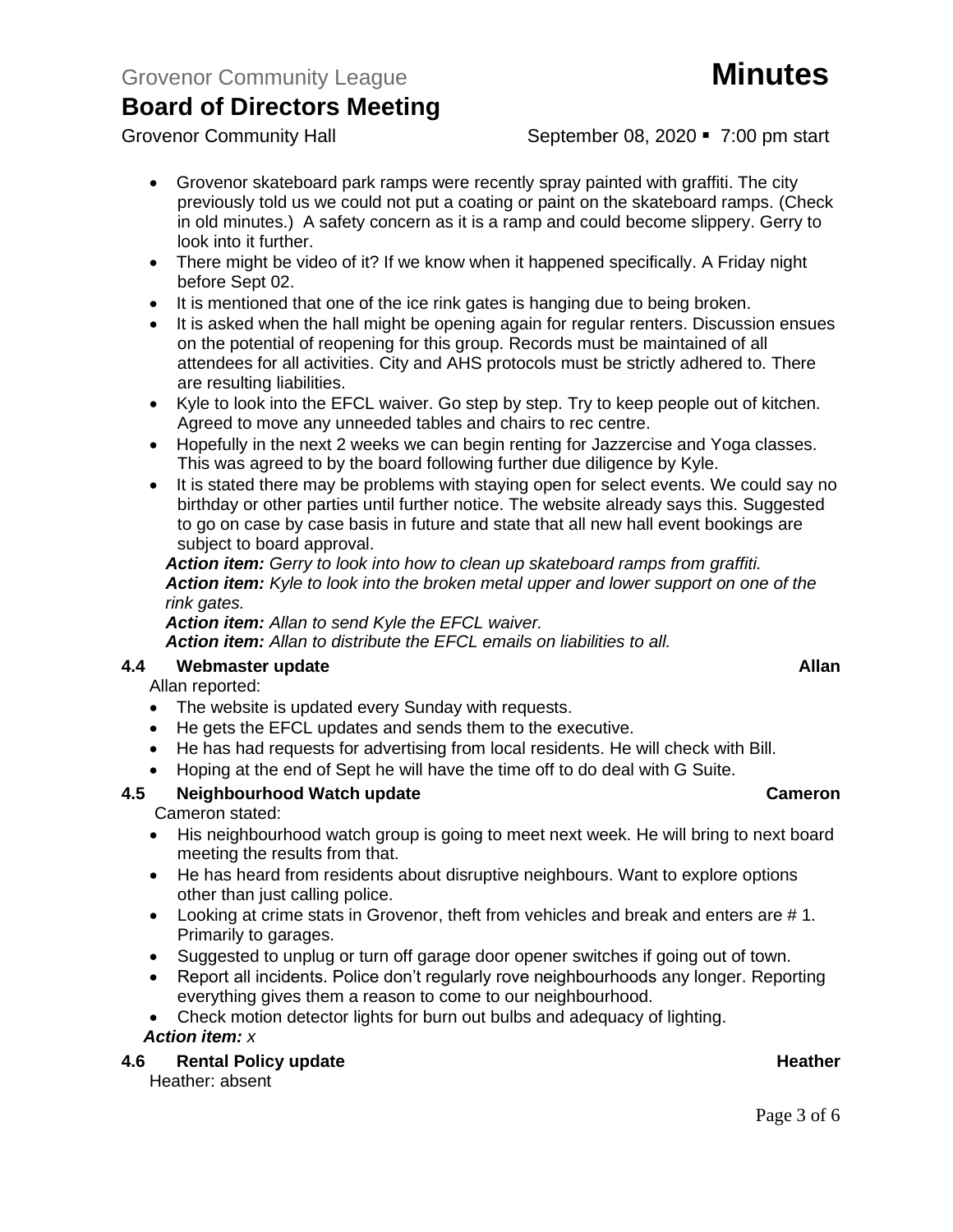# Grovenor Community League **Minutes**

# **Board of Directors Meeting**

- Grovenor skateboard park ramps were recently spray painted with graffiti. The city previously told us we could not put a coating or paint on the skateboard ramps. (Check in old minutes.) A safety concern as it is a ramp and could become slippery. Gerry to look into it further.
- There might be video of it? If we know when it happened specifically. A Friday night before Sept 02.
- It is mentioned that one of the ice rink gates is hanging due to being broken.
- It is asked when the hall might be opening again for regular renters. Discussion ensues on the potential of reopening for this group. Records must be maintained of all attendees for all activities. City and AHS protocols must be strictly adhered to. There are resulting liabilities.
- Kyle to look into the EFCL waiver. Go step by step. Try to keep people out of kitchen. Agreed to move any unneeded tables and chairs to rec centre.
- Hopefully in the next 2 weeks we can begin renting for Jazzercise and Yoga classes. This was agreed to by the board following further due diligence by Kyle.
- It is stated there may be problems with staying open for select events. We could say no birthday or other parties until further notice. The website already says this. Suggested to go on case by case basis in future and state that all new hall event bookings are subject to board approval.

*Action item: Gerry to look into how to clean up skateboard ramps from graffiti. Action item: Kyle to look into the broken metal upper and lower support on one of the rink gates.* 

*Action item: Allan to send Kyle the EFCL waiver. Action item: Allan to distribute the EFCL emails on liabilities to all.*

## **4.4 Webmaster update Allan**

Allan reported:

- The website is updated every Sunday with requests.
- He gets the EFCL updates and sends them to the executive.
- He has had requests for advertising from local residents. He will check with Bill.
- Hoping at the end of Sept he will have the time off to do deal with G Suite.

## **4.5 Neighbourhood Watch update Cameron**

Cameron stated:

- His neighbourhood watch group is going to meet next week. He will bring to next board meeting the results from that.
- He has heard from residents about disruptive neighbours. Want to explore options other than just calling police.
- Looking at crime stats in Grovenor, theft from vehicles and break and enters are # 1. Primarily to garages.
- Suggested to unplug or turn off garage door opener switches if going out of town.
- Report all incidents. Police don't regularly rove neighbourhoods any longer. Reporting everything gives them a reason to come to our neighbourhood.
- Check motion detector lights for burn out bulbs and adequacy of lighting. *Action item: x*

### **4.6 Rental Policy update All and Security Contract Contract Contract Contract Contract Contract Contract Contract Contract Contract Contract Contract Contract Contract Contract Contract Contract Contract Contract Contra**

Heather: absent

## Grovenor Community Hall September 08, 2020 • 7:00 pm start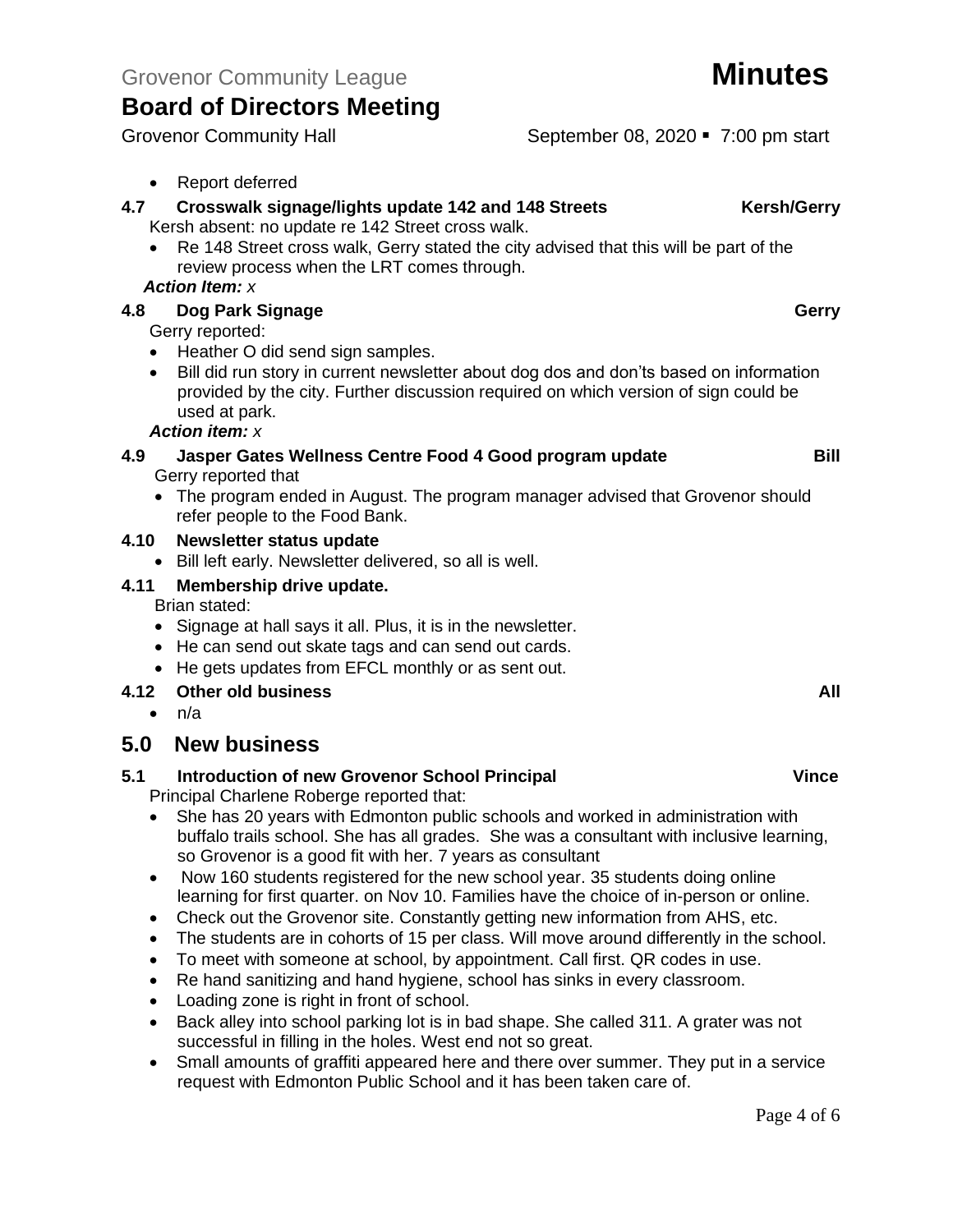Grovenor Community Hall September 08, 2020 • 7:00 pm start

## • Report deferred

- **4.7 Crosswalk signage/lights update 142 and 148 Streets Kersh/Gerry** Kersh absent: no update re 142 Street cross walk.
	- Re 148 Street cross walk, Gerry stated the city advised that this will be part of the review process when the LRT comes through.

### *Action Item: x*

## **4.8 Dog Park Signage Gerry**

Gerry reported:

- Heather O did send sign samples.
- Bill did run story in current newsletter about dog dos and don'ts based on information provided by the city. Further discussion required on which version of sign could be used at park.

### *Action item: x*

### **4.9 Jasper Gates Wellness Centre Food 4 Good program update Bill** Gerry reported that

• The program ended in August. The program manager advised that Grovenor should refer people to the Food Bank.

### **4.10 Newsletter status update**

• Bill left early. Newsletter delivered, so all is well.

## **4.11 Membership drive update.**

Brian stated:

- Signage at hall says it all. Plus, it is in the newsletter.
- He can send out skate tags and can send out cards.
- He gets updates from EFCL monthly or as sent out.

## **4.12 Other old business All**

 $\bullet$  n/a

## **5.0 New business**

## **5.1 Introduction of new Grovenor School Principal Vince**

Principal Charlene Roberge reported that:

- She has 20 years with Edmonton public schools and worked in administration with buffalo trails school. She has all grades. She was a consultant with inclusive learning, so Grovenor is a good fit with her. 7 years as consultant
- Now 160 students registered for the new school year. 35 students doing online learning for first quarter. on Nov 10. Families have the choice of in-person or online.
- Check out the Grovenor site. Constantly getting new information from AHS, etc.
- The students are in cohorts of 15 per class. Will move around differently in the school.
- To meet with someone at school, by appointment. Call first. QR codes in use.
- Re hand sanitizing and hand hygiene, school has sinks in every classroom.
- Loading zone is right in front of school.
- Back alley into school parking lot is in bad shape. She called 311. A grater was not successful in filling in the holes. West end not so great.
- Small amounts of graffiti appeared here and there over summer. They put in a service request with Edmonton Public School and it has been taken care of.

## Page 4 of 6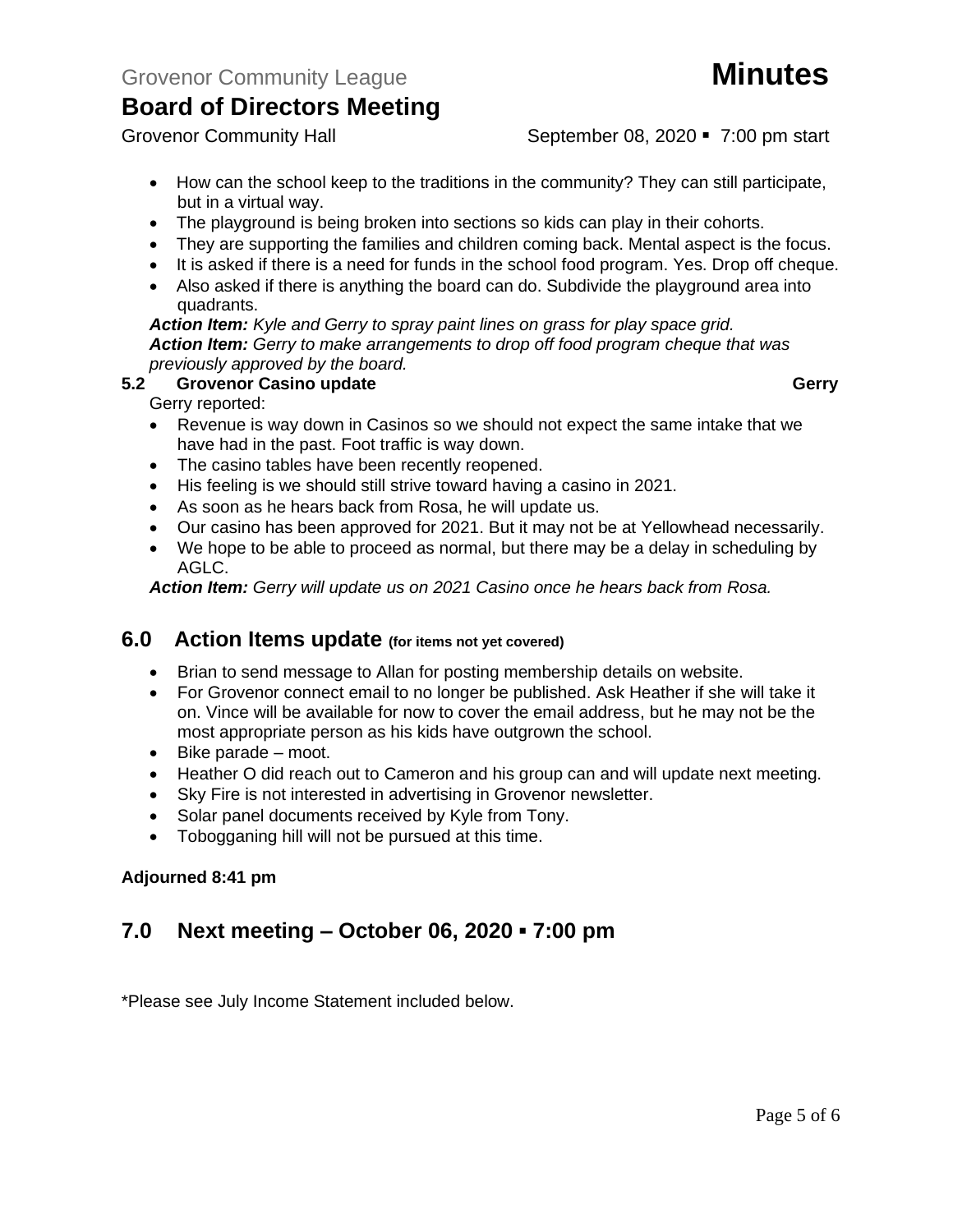Grovenor Community Hall September 08, 2020 • 7:00 pm start

- How can the school keep to the traditions in the community? They can still participate, but in a virtual way.
- The playground is being broken into sections so kids can play in their cohorts.
- They are supporting the families and children coming back. Mental aspect is the focus.
- It is asked if there is a need for funds in the school food program. Yes. Drop off cheque.
- Also asked if there is anything the board can do. Subdivide the playground area into quadrants.

*Action Item: Kyle and Gerry to spray paint lines on grass for play space grid. Action Item: Gerry to make arrangements to drop off food program cheque that was previously approved by the board.* 

## **5.2 Grovenor Casino update Gerry**

Gerry reported:

- Revenue is way down in Casinos so we should not expect the same intake that we have had in the past. Foot traffic is way down.
- The casino tables have been recently reopened.
- His feeling is we should still strive toward having a casino in 2021.
- As soon as he hears back from Rosa, he will update us.
- Our casino has been approved for 2021. But it may not be at Yellowhead necessarily.
- We hope to be able to proceed as normal, but there may be a delay in scheduling by AGLC.

*Action Item: Gerry will update us on 2021 Casino once he hears back from Rosa.*

## **6.0 Action Items update (for items not yet covered)**

- Brian to send message to Allan for posting membership details on website.
- For Grovenor connect email to no longer be published. Ask Heather if she will take it on. Vince will be available for now to cover the email address, but he may not be the most appropriate person as his kids have outgrown the school.
- Bike parade moot.
- Heather O did reach out to Cameron and his group can and will update next meeting.
- Sky Fire is not interested in advertising in Grovenor newsletter.
- Solar panel documents received by Kyle from Tony.
- Tobogganing hill will not be pursued at this time.

## **Adjourned 8:41 pm**

# **7.0 Next meeting – October 06, 2020 ▪ 7:00 pm**

\*Please see July Income Statement included below.